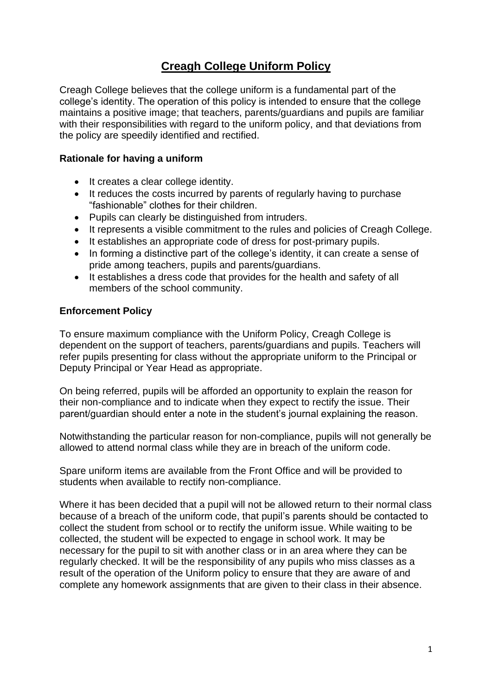### **Creagh College Uniform Policy**

Creagh College believes that the college uniform is a fundamental part of the college's identity. The operation of this policy is intended to ensure that the college maintains a positive image; that teachers, parents/guardians and pupils are familiar with their responsibilities with regard to the uniform policy, and that deviations from the policy are speedily identified and rectified.

#### **Rationale for having a uniform**

- It creates a clear college identity.
- It reduces the costs incurred by parents of regularly having to purchase "fashionable" clothes for their children.
- Pupils can clearly be distinguished from intruders.
- It represents a visible commitment to the rules and policies of Creagh College.
- It establishes an appropriate code of dress for post-primary pupils.
- In forming a distinctive part of the college's identity, it can create a sense of pride among teachers, pupils and parents/guardians.
- It establishes a dress code that provides for the health and safety of all members of the school community.

#### **Enforcement Policy**

To ensure maximum compliance with the Uniform Policy, Creagh College is dependent on the support of teachers, parents/guardians and pupils. Teachers will refer pupils presenting for class without the appropriate uniform to the Principal or Deputy Principal or Year Head as appropriate.

On being referred, pupils will be afforded an opportunity to explain the reason for their non-compliance and to indicate when they expect to rectify the issue. Their parent/guardian should enter a note in the student's journal explaining the reason.

Notwithstanding the particular reason for non-compliance, pupils will not generally be allowed to attend normal class while they are in breach of the uniform code.

Spare uniform items are available from the Front Office and will be provided to students when available to rectify non-compliance.

Where it has been decided that a pupil will not be allowed return to their normal class because of a breach of the uniform code, that pupil's parents should be contacted to collect the student from school or to rectify the uniform issue. While waiting to be collected, the student will be expected to engage in school work. It may be necessary for the pupil to sit with another class or in an area where they can be regularly checked. It will be the responsibility of any pupils who miss classes as a result of the operation of the Uniform policy to ensure that they are aware of and complete any homework assignments that are given to their class in their absence.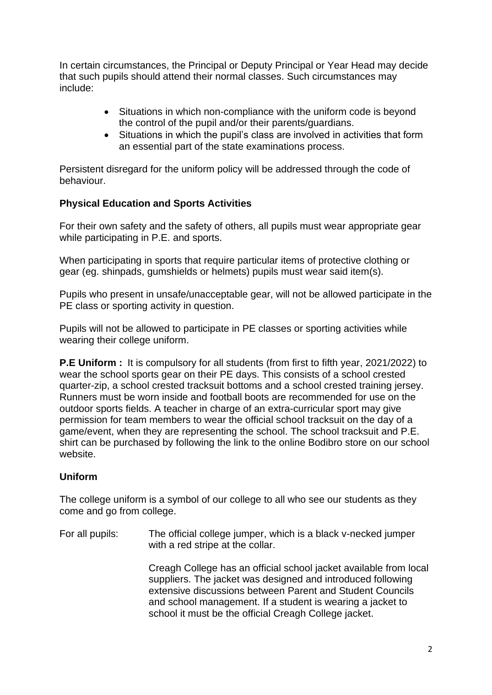In certain circumstances, the Principal or Deputy Principal or Year Head may decide that such pupils should attend their normal classes. Such circumstances may include:

- Situations in which non-compliance with the uniform code is beyond the control of the pupil and/or their parents/guardians.
- Situations in which the pupil's class are involved in activities that form an essential part of the state examinations process.

Persistent disregard for the uniform policy will be addressed through the code of behaviour.

#### **Physical Education and Sports Activities**

For their own safety and the safety of others, all pupils must wear appropriate gear while participating in P.E. and sports.

When participating in sports that require particular items of protective clothing or gear (eg. shinpads, gumshields or helmets) pupils must wear said item(s).

Pupils who present in unsafe/unacceptable gear, will not be allowed participate in the PE class or sporting activity in question.

Pupils will not be allowed to participate in PE classes or sporting activities while wearing their college uniform.

**P.E Uniform :** It is compulsory for all students (from first to fifth year, 2021/2022) to wear the school sports gear on their PE days. This consists of a school crested quarter-zip, a school crested tracksuit bottoms and a school crested training jersey. Runners must be worn inside and football boots are recommended for use on the outdoor sports fields. A teacher in charge of an extra-curricular sport may give permission for team members to wear the official school tracksuit on the day of a game/event, when they are representing the school. The school tracksuit and P.E. shirt can be purchased by following the link to the online Bodibro store on our school website.

#### **Uniform**

The college uniform is a symbol of our college to all who see our students as they come and go from college.

For all pupils: The official college jumper, which is a black v-necked jumper with a red stripe at the collar.

> Creagh College has an official school jacket available from local suppliers. The jacket was designed and introduced following extensive discussions between Parent and Student Councils and school management. If a student is wearing a jacket to school it must be the official Creagh College jacket.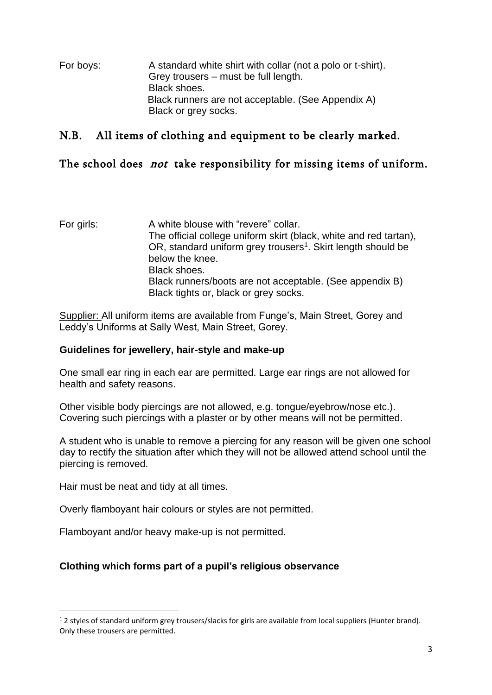For boys: A standard white shirt with collar (not a polo or t-shirt). Grey trousers – must be full length. Black shoes. Black runners are not acceptable. (See Appendix A) Black or grey socks.

### N.B. All items of clothing and equipment to be clearly marked.

### The school does *not* take responsibility for missing items of uniform.

For girls: A white blouse with "revere" collar. The official college uniform skirt (black, white and red tartan), OR, standard uniform grey trousers<sup>1</sup>. Skirt length should be below the knee. Black shoes. Black runners/boots are not acceptable. (See appendix B) Black tights or, black or grey socks.

Supplier: All uniform items are available from Funge's, Main Street, Gorey and Leddy's Uniforms at Sally West, Main Street, Gorey.

#### **Guidelines for jewellery, hair-style and make-up**

One small ear ring in each ear are permitted. Large ear rings are not allowed for health and safety reasons.

Other visible body piercings are not allowed, e.g. tongue/eyebrow/nose etc.). Covering such piercings with a plaster or by other means will not be permitted.

A student who is unable to remove a piercing for any reason will be given one school day to rectify the situation after which they will not be allowed attend school until the piercing is removed.

Hair must be neat and tidy at all times.

Overly flamboyant hair colours or styles are not permitted.

Flamboyant and/or heavy make-up is not permitted.

#### **Clothing which forms part of a pupil's religious observance**

 $12$  styles of standard uniform grey trousers/slacks for girls are available from local suppliers (Hunter brand). Only these trousers are permitted.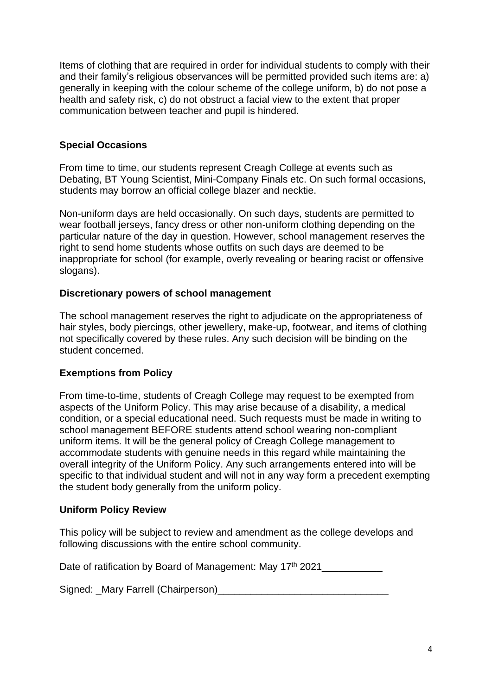Items of clothing that are required in order for individual students to comply with their and their family's religious observances will be permitted provided such items are: a) generally in keeping with the colour scheme of the college uniform, b) do not pose a health and safety risk, c) do not obstruct a facial view to the extent that proper communication between teacher and pupil is hindered.

#### **Special Occasions**

From time to time, our students represent Creagh College at events such as Debating, BT Young Scientist, Mini-Company Finals etc. On such formal occasions, students may borrow an official college blazer and necktie.

Non-uniform days are held occasionally. On such days, students are permitted to wear football jerseys, fancy dress or other non-uniform clothing depending on the particular nature of the day in question. However, school management reserves the right to send home students whose outfits on such days are deemed to be inappropriate for school (for example, overly revealing or bearing racist or offensive slogans).

#### **Discretionary powers of school management**

The school management reserves the right to adjudicate on the appropriateness of hair styles, body piercings, other jewellery, make-up, footwear, and items of clothing not specifically covered by these rules. Any such decision will be binding on the student concerned.

#### **Exemptions from Policy**

From time-to-time, students of Creagh College may request to be exempted from aspects of the Uniform Policy. This may arise because of a disability, a medical condition, or a special educational need. Such requests must be made in writing to school management BEFORE students attend school wearing non-compliant uniform items. It will be the general policy of Creagh College management to accommodate students with genuine needs in this regard while maintaining the overall integrity of the Uniform Policy. Any such arrangements entered into will be specific to that individual student and will not in any way form a precedent exempting the student body generally from the uniform policy.

#### **Uniform Policy Review**

This policy will be subject to review and amendment as the college develops and following discussions with the entire school community.

Date of ratification by Board of Management: May 17<sup>th</sup> 2021

Signed: \_Mary Farrell (Chairperson)\_\_\_\_\_\_\_\_\_\_\_\_\_\_\_\_\_\_\_\_\_\_\_\_\_\_\_\_\_\_\_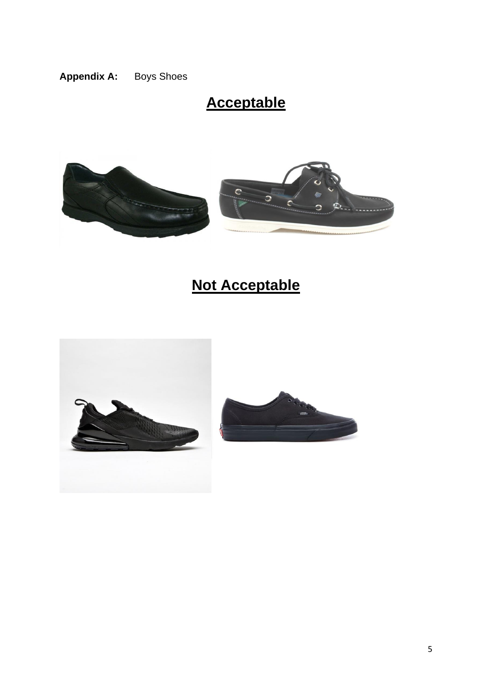### **Appendix A:** Boys Shoes

# **Acceptable**



# **Not Acceptable**